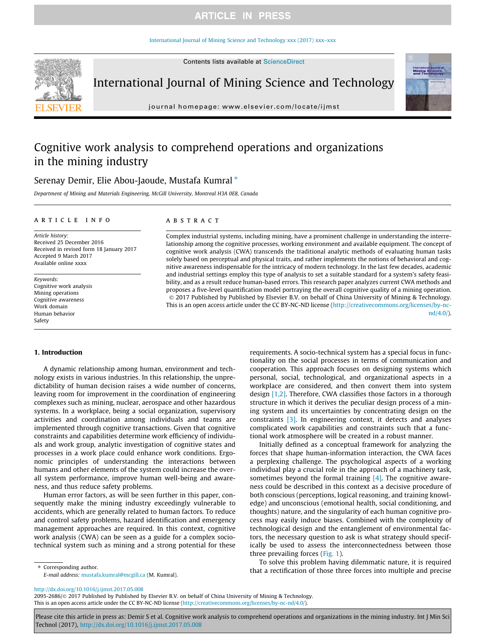# **ARTICLE IN PRESS**

### [International Journal of Mining Science and Technology xxx \(2017\) xxx–xxx](http://dx.doi.org/10.1016/j.ijmst.2017.05.008)



International Journal of Mining Science and Technology

journal homepage: [www.elsevier.com/locate/ijmst](http://www.elsevier.com/locate/ijmst)

# Cognitive work analysis to comprehend operations and organizations in the mining industry

# Serenay Demir, Elie Abou-Jaoude, Mustafa Kumral\*

Department of Mining and Materials Engineering, McGill University, Montreal H3A 0E8, Canada

### article info

Article history: Received 25 December 2016 Received in revised form 18 January 2017 Accepted 9 March 2017 Available online xxxx

Keywords: Cognitive work analysis Mining operations Cognitive awareness Work domain Human behavior Safety

# ABSTRACT

Complex industrial systems, including mining, have a prominent challenge in understanding the interrelationship among the cognitive processes, working environment and available equipment. The concept of cognitive work analysis (CWA) transcends the traditional analytic methods of evaluating human tasks solely based on perceptual and physical traits, and rather implements the notions of behavioral and cognitive awareness indispensable for the intricacy of modern technology. In the last few decades, academic and industrial settings employ this type of analysis to set a suitable standard for a system's safety feasibility, and as a result reduce human-based errors. This research paper analyzes current CWA methods and proposes a five-level quantification model portraying the overall cognitive quality of a mining operation. 2017 Published by Published by Elsevier B.V. on behalf of China University of Mining & Technology. This is an open access article under the CC BY-NC-ND license [\(http://creativecommons.org/licenses/by-nc](http://creativecommons.org/licenses/by-nc-nd/4.0/)[nd/4.0/](http://creativecommons.org/licenses/by-nc-nd/4.0/)).

#### 1. Introduction

A dynamic relationship among human, environment and technology exists in various industries. In this relationship, the unpredictability of human decision raises a wide number of concerns, leaving room for improvement in the coordination of engineering complexes such as mining, nuclear, aerospace and other hazardous systems. In a workplace, being a social organization, supervisory activities and coordination among individuals and teams are implemented through cognitive transactions. Given that cognitive constraints and capabilities determine work efficiency of individuals and work group, analytic investigation of cognitive states and processes in a work place could enhance work conditions. Ergonomic principles of understanding the interactions between humans and other elements of the system could increase the overall system performance, improve human well-being and awareness, and thus reduce safety problems.

Human error factors, as will be seen further in this paper, consequently make the mining industry exceedingly vulnerable to accidents, which are generally related to human factors. To reduce and control safety problems, hazard identification and emergency management approaches are required. In this context, cognitive work analysis (CWA) can be seen as a guide for a complex sociotechnical system such as mining and a strong potential for these requirements. A socio-technical system has a special focus in functionality on the social processes in terms of communication and cooperation. This approach focuses on designing systems which personal, social, technological, and organizational aspects in a workplace are considered, and then convert them into system design [1,2]. Therefore, CWA classifies those factors in a thorough structure in which it derives the peculiar design process of a mining system and its uncertainties by concentrating design on the constraints [3]. In engineering context, it detects and analyses complicated work capabilities and constraints such that a functional work atmosphere will be created in a robust manner.

Initially defined as a conceptual framework for analyzing the forces that shape human-information interaction, the CWA faces a perplexing challenge. The psychological aspects of a working individual play a crucial role in the approach of a machinery task, sometimes beyond the formal training  $[4]$ . The cognitive awareness could be described in this context as a decisive procedure of both conscious (perceptions, logical reasoning, and training knowledge) and unconscious (emotional health, social conditioning, and thoughts) nature, and the singularity of each human cognitive process may easily induce biases. Combined with the complexity of technological design and the entanglement of environmental factors, the necessary question to ask is what strategy should specifically be used to assess the interconnectedness between those three prevailing forces (Fig. 1).

To solve this problem having dilemmatic nature, it is required that a rectification of those three forces into multiple and precise

E-mail address: [mustafa.kumral@mcgill.ca](mailto:mustafa.kumral@mcgill.ca) (M. Kumral).

⇑ Corresponding author.

<http://dx.doi.org/10.1016/j.ijmst.2017.05.008>

2095-2686/@ 2017 Published by Published by Elsevier B.V. on behalf of China University of Mining & Technology. This is an open access article under the CC BY-NC-ND license ([http://creativecommons.org/licenses/by-nc-nd/4.0/\)](http://creativecommons.org/licenses/by-nc-nd/4.0/).

Please cite this article in press as: Demir S et al. Cognitive work analysis to comprehend operations and organizations in the mining industry. Int J Min Sci Technol (2017), <http://dx.doi.org/10.1016/j.ijmst.2017.05.008>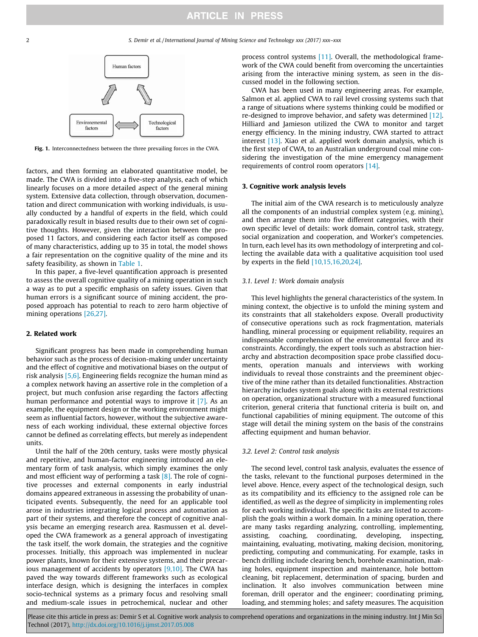

Fig. 1. Interconnectedness between the three prevailing forces in the CWA.

factors, and then forming an elaborated quantitative model, be made. The CWA is divided into a five-step analysis, each of which linearly focuses on a more detailed aspect of the general mining system. Extensive data collection, through observation, documentation and direct communication with working individuals, is usually conducted by a handful of experts in the field, which could paradoxically result in biased results due to their own set of cognitive thoughts. However, given the interaction between the proposed 11 factors, and considering each factor itself as composed of many characteristics, adding up to 35 in total, the model shows a fair representation on the cognitive quality of the mine and its safety feasibility, as shown in Table 1.

In this paper, a five-level quantification approach is presented to assess the overall cognitive quality of a mining operation in such a way as to put a specific emphasis on safety issues. Given that human errors is a significant source of mining accident, the proposed approach has potential to reach to zero harm objective of mining operations [26,27].

# 2. Related work

Significant progress has been made in comprehending human behavior such as the process of decision-making under uncertainty and the effect of cognitive and motivational biases on the output of risk analysis [5,6]. Engineering fields recognize the human mind as a complex network having an assertive role in the completion of a project, but much confusion arise regarding the factors affecting human performance and potential ways to improve it [7]. As an example, the equipment design or the working environment might seem as influential factors, however, without the subjective awareness of each working individual, these external objective forces cannot be defined as correlating effects, but merely as independent units.

Until the half of the 20th century, tasks were mostly physical and repetitive, and human-factor engineering introduced an elementary form of task analysis, which simply examines the only and most efficient way of performing a task  $[8]$ . The role of cognitive processes and external components in early industrial domains appeared extraneous in assessing the probability of unanticipated events. Subsequently, the need for an applicable tool arose in industries integrating logical process and automation as part of their systems, and therefore the concept of cognitive analysis became an emerging research area. Rasmussen et al. developed the CWA framework as a general approach of investigating the task itself, the work domain, the strategies and the cognitive processes. Initially, this approach was implemented in nuclear power plants, known for their extensive systems, and their precarious management of accidents by operators  $[9,10]$ . The CWA has paved the way towards different frameworks such as ecological interface design, which is designing the interfaces in complex socio-technical systems as a primary focus and resolving small and medium-scale issues in petrochemical, nuclear and other process control systems [11]. Overall, the methodological framework of the CWA could benefit from overcoming the uncertainties arising from the interactive mining system, as seen in the discussed model in the following section.

CWA has been used in many engineering areas. For example, Salmon et al. applied CWA to rail level crossing systems such that a range of situations where systems thinking could be modified or re-designed to improve behavior, and safety was determined [12]. Hilliard and Jamieson utilized the CWA to monitor and target energy efficiency. In the mining industry, CWA started to attract interest [13]. Xiao et al. applied work domain analysis, which is the first step of CWA, to an Australian underground coal mine considering the investigation of the mine emergency management requirements of control room operators [14].

# 3. Cognitive work analysis levels

The initial aim of the CWA research is to meticulously analyze all the components of an industrial complex system (e.g. mining), and then arrange them into five different categories, with their own specific level of details: work domain, control task, strategy, social organization and cooperation, and Worker's competencies. In turn, each level has its own methodology of interpreting and collecting the available data with a qualitative acquisition tool used by experts in the field [10,15,16,20,24].

# 3.1. Level 1: Work domain analysis

This level highlights the general characteristics of the system. In mining context, the objective is to unfold the mining system and its constraints that all stakeholders expose. Overall productivity of consecutive operations such as rock fragmentation, materials handling, mineral processing or equipment reliability, requires an indispensable comprehension of the environmental force and its constraints. Accordingly, the expert tools such as abstraction hierarchy and abstraction decomposition space probe classified documents, operation manuals and interviews with working individuals to reveal those constraints and the preeminent objective of the mine rather than its detailed functionalities. Abstraction hierarchy includes system goals along with its external restrictions on operation, organizational structure with a measured functional criterion, general criteria that functional criteria is built on, and functional capabilities of mining equipment. The outcome of this stage will detail the mining system on the basis of the constrains affecting equipment and human behavior.

# 3.2. Level 2: Control task analysis

The second level, control task analysis, evaluates the essence of the tasks, relevant to the functional purposes determined in the level above. Hence, every aspect of the technological design, such as its compatibility and its efficiency to the assigned role can be identified, as well as the degree of simplicity in implementing roles for each working individual. The specific tasks are listed to accomplish the goals within a work domain. In a mining operation, there are many tasks regarding analyzing, controlling, implementing, assisting, coaching, coordinating, developing, inspecting, maintaining, evaluating, motivating, making decision, monitoring, predicting, computing and communicating. For example, tasks in bench drilling include clearing bench, borehole examination, making holes, equipment inspection and maintenance, hole bottom cleaning, bit replacement, determination of spacing, burden and inclination. It also involves communication between mine foreman, drill operator and the engineer; coordinating priming, loading, and stemming holes; and safety measures. The acquisition

Please cite this article in press as: Demir S et al. Cognitive work analysis to comprehend operations and organizations in the mining industry. Int J Min Sci Technol (2017), <http://dx.doi.org/10.1016/j.ijmst.2017.05.008>